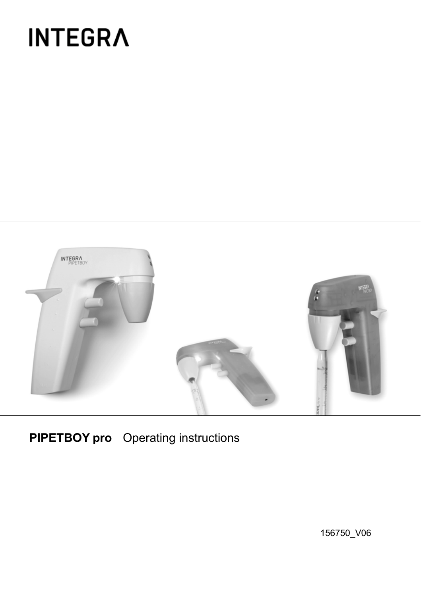# **INTEGRA**



**PIPETBOY pro** Operating instructions

156750\_V06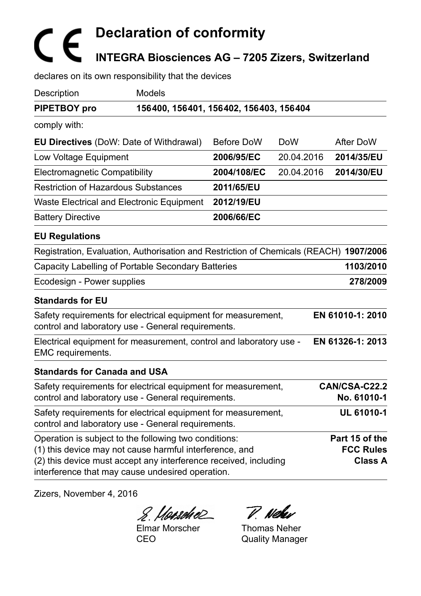# **Declaration of conformity INTEGRA Biosciences AG – 7205 Zizers, Switzerland**

declares on its own responsibility that the devices

| Description                                                                                                                 | Models                                                                                                              |             |            |                                    |
|-----------------------------------------------------------------------------------------------------------------------------|---------------------------------------------------------------------------------------------------------------------|-------------|------------|------------------------------------|
| PIPETBOY pro                                                                                                                | 156400, 156401, 156402, 156403, 156404                                                                              |             |            |                                    |
| comply with:                                                                                                                |                                                                                                                     |             |            |                                    |
|                                                                                                                             | <b>EU Directives</b> (DoW: Date of Withdrawal)                                                                      | Before DoW  | <b>DoW</b> | After DoW                          |
| Low Voltage Equipment                                                                                                       |                                                                                                                     | 2006/95/EC  | 20.04.2016 | 2014/35/EU                         |
| Electromagnetic Compatibility                                                                                               |                                                                                                                     | 2004/108/EC | 20.04.2016 | 2014/30/EU                         |
| <b>Restriction of Hazardous Substances</b>                                                                                  |                                                                                                                     | 2011/65/EU  |            |                                    |
|                                                                                                                             | Waste Electrical and Electronic Equipment                                                                           | 2012/19/EU  |            |                                    |
| <b>Battery Directive</b>                                                                                                    |                                                                                                                     | 2006/66/EC  |            |                                    |
| <b>EU Regulations</b>                                                                                                       |                                                                                                                     |             |            |                                    |
|                                                                                                                             | Registration, Evaluation, Authorisation and Restriction of Chemicals (REACH) 1907/2006                              |             |            |                                    |
|                                                                                                                             | Capacity Labelling of Portable Secondary Batteries                                                                  |             |            | 1103/2010                          |
| Ecodesign - Power supplies                                                                                                  |                                                                                                                     |             |            | 278/2009                           |
| <b>Standards for EU</b>                                                                                                     |                                                                                                                     |             |            |                                    |
|                                                                                                                             | Safety requirements for electrical equipment for measurement,<br>control and laboratory use - General requirements. |             |            | EN 61010-1: 2010                   |
| EMC requirements.                                                                                                           | Electrical equipment for measurement, control and laboratory use -                                                  |             |            | EN 61326-1: 2013                   |
| <b>Standards for Canada and USA</b>                                                                                         |                                                                                                                     |             |            |                                    |
|                                                                                                                             | Safety requirements for electrical equipment for measurement,<br>control and laboratory use - General requirements. |             |            | CAN/CSA-C22.2<br>No. 61010-1       |
|                                                                                                                             | Safety requirements for electrical equipment for measurement,<br>control and laboratory use - General requirements. |             |            | UL 61010-1                         |
|                                                                                                                             | Operation is subject to the following two conditions:                                                               |             |            | Part 15 of the                     |
| (1) this device may not cause harmful interference, and<br>(2) this device must accept any interference received, including |                                                                                                                     |             |            | <b>FCC Rules</b><br><b>Class A</b> |
|                                                                                                                             | interference that may cause undesired operation.                                                                    |             |            |                                    |

Zizers, November 4, 2016

8. Hansdie P. Nehr

Elmar Morscher CEO

Thomas Neher Quality Manager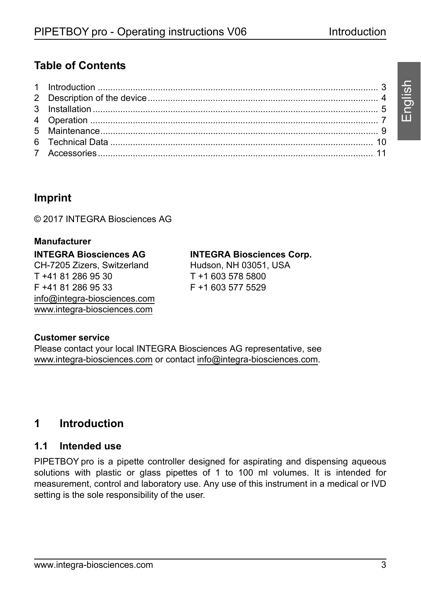English

# **Table of Contents**

## **Imprint**

© 2017 INTEGRA Biosciences AG

#### **Manufacturer INTEGRA Biosciences AG** CH-7205 Zizers, Switzerland T +41 81 286 95 30 F +41 81 286 95 33 info@integra-biosciences.com www.integra-biosciences.com

#### **INTEGRA Biosciences Corp.**

Hudson, NH 03051, USA T +1 603 578 5800 F +1 603 577 5529

#### **Customer service**

Please contact your local INTEGRA Biosciences AG representative, see www.integra-biosciences.com or contact info@integra-biosciences.com.

#### <span id="page-2-0"></span>**1 Introduction**

#### **1.1 Intended use**

PIPETBOY pro is a pipette controller designed for aspirating and dispensing aqueous solutions with plastic or glass pipettes of 1 to 100 ml volumes. It is intended for measurement, control and laboratory use. Any use of this instrument in a medical or IVD setting is the sole responsibility of the user.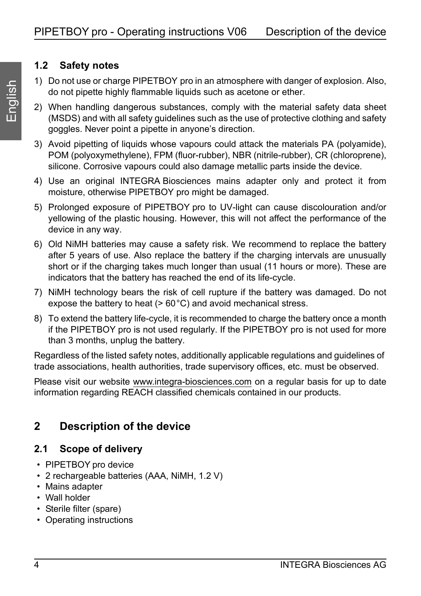#### **1.2 Safety notes**

- 1) Do not use or charge PIPETBOY pro in an atmosphere with danger of explosion. Also, do not pipette highly flammable liquids such as acetone or ether.
- 2) When handling dangerous substances, comply with the material safety data sheet (MSDS) and with all safety guidelines such as the use of protective clothing and safety goggles. Never point a pipette in anyone's direction.
- 3) Avoid pipetting of liquids whose vapours could attack the materials PA (polyamide), POM (polyoxymethylene), FPM (fluor-rubber), NBR (nitrile-rubber), CR (chloroprene), silicone. Corrosive vapours could also damage metallic parts inside the device.
- 4) Use an original INTEGRA Biosciences mains adapter only and protect it from moisture, otherwise PIPETBOY pro might be damaged.
- 5) Prolonged exposure of PIPETBOY pro to UV-light can cause discolouration and/or yellowing of the plastic housing. However, this will not affect the performance of the device in any way.
- 6) Old NiMH batteries may cause a safety risk. We recommend to replace the battery after 5 years of use. Also replace the battery if the charging intervals are unusually short or if the charging takes much longer than usual (11 hours or more). These are indicators that the battery has reached the end of its life-cycle.
- 7) NiMH technology bears the risk of cell rupture if the battery was damaged. Do not expose the battery to heat (> 60°C) and avoid mechanical stress.
- 8) To extend the battery life-cycle, it is recommended to charge the battery once a month if the PIPETBOY pro is not used regularly. If the PIPETBOY pro is not used for more than 3 months, unplug the battery.

Regardless of the listed safety notes, additionally applicable regulations and guidelines of trade associations, health authorities, trade supervisory offices, etc. must be observed.

Please visit our website www.integra-biosciences.com on a regular basis for up to date information regarding REACH classified chemicals contained in our products.

# <span id="page-3-0"></span>**2 Description of the device**

#### **2.1 Scope of delivery**

- PIPETBOY pro device
- 2 rechargeable batteries (AAA, NiMH, 1.2 V)
- Mains adapter
- Wall holder
- Sterile filter (spare)
- Operating instructions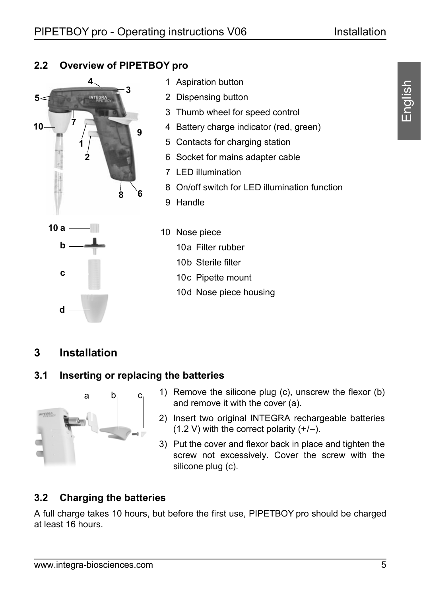#### **2.2 Overview of PIPETBOY pro**



- <span id="page-4-3"></span>1 Aspiration button
- <span id="page-4-2"></span>2 Dispensing button
- <span id="page-4-6"></span>3 Thumb wheel for speed control
- <span id="page-4-1"></span>4 Battery charge indicator (red, green)
- 5 Contacts for charging station
- 6 Socket for mains adapter cable
- <span id="page-4-7"></span>7 LED illumination
- <span id="page-4-8"></span>8 On/off switch for LED illumination function
- <span id="page-4-9"></span>9 Handle



- <span id="page-4-12"></span><span id="page-4-11"></span><span id="page-4-10"></span><span id="page-4-5"></span><span id="page-4-4"></span>10 Nose piece
	- 10a Filter rubber
	- 10b Sterile filter
	- 10c Pipette mount
	- 10d Nose piece housing

#### <span id="page-4-0"></span>**3 Installation**

#### **3.1 Inserting or replacing the batteries**



- 1) Remove the silicone plug (c), unscrew the flexor (b) and remove it with the cover (a).
- 2) Insert two original INTEGRA rechargeable batteries  $(1.2 V)$  with the correct polarity  $(+/-)$ .
- 3) Put the cover and flexor back in place and tighten the screw not excessively. Cover the screw with the silicone plug (c).

#### **3.2 Charging the batteries**

A full charge takes 10 hours, but before the first use, PIPETBOY pro should be charged at least 16 hours.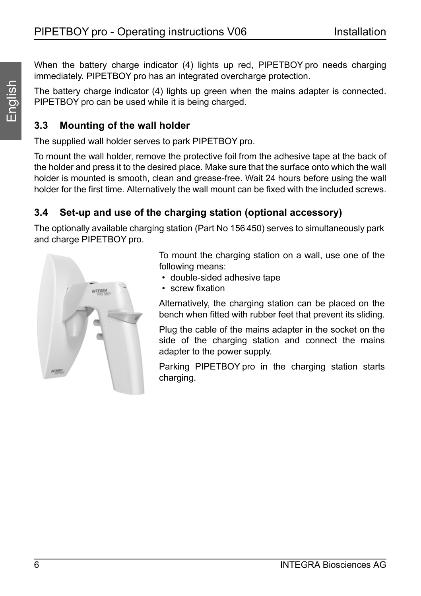When the battery charge indicator ([4\)](#page-4-1) lights up red, PIPETBOY pro needs charging immediately. PIPETBOY pro has an integrated overcharge protection.

The battery charge indicator ([4\)](#page-4-1) lights up green when the mains adapter is connected. PIPETBOY pro can be used while it is being charged.

#### **3.3 Mounting of the wall holder**

The supplied wall holder serves to park PIPETBOY pro.

To mount the wall holder, remove the protective foil from the adhesive tape at the back of the holder and press it to the desired place. Make sure that the surface onto which the wall holder is mounted is smooth, clean and grease-free. Wait 24 hours before using the wall holder for the first time. Alternatively the wall mount can be fixed with the included screws.

## **3.4 Set-up and use of the charging station (optional accessory)**

The optionally available charging station (Part No 156 450) serves to simultaneously park and charge PIPETBOY pro.



To mount the charging station on a wall, use one of the following means:

- double-sided adhesive tape
- screw fixation

Alternatively, the charging station can be placed on the bench when fitted with rubber feet that prevent its sliding.

Plug the cable of the mains adapter in the socket on the side of the charging station and connect the mains adapter to the power supply.

Parking PIPETBOY pro in the charging station starts charging.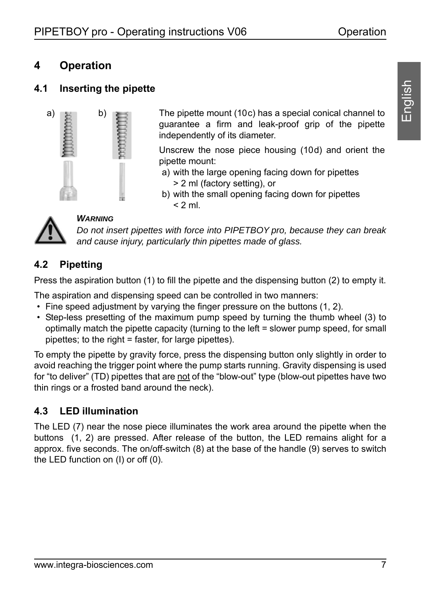# <span id="page-6-0"></span>**4 Operation**

#### <span id="page-6-1"></span>**4.1 Inserting the pipette**



The pipette mount ([10c\)](#page-4-4) has a special conical channel to guarantee a firm and leak-proof grip of the pipette independently of its diameter.

Unscrew the nose piece housing ([10d](#page-4-5)) and orient the pipette mount:

- a) with the large opening facing down for pipettes > 2 ml (factory setting), or
- b) with the small opening facing down for pipettes  $< 2$  ml.



#### *WARNING*

*Do not insert pipettes with force into PIPETBOY pro, because they can break and cause injury, particularly thin pipettes made of glass.*

#### **4.2 Pipetting**

Press the aspiration button [\(1](#page-4-3)) to fill the pipette and the dispensing button ([2\)](#page-4-2) to empty it.

The aspiration and dispensing speed can be controlled in two manners:

- Fine speed adjustment by varying the finger pressure on the buttons [\(1](#page-4-3), [2](#page-4-2)).
- Step-less presetting of the maximum pump speed by turning the thumb wheel ([3\)](#page-4-6) to optimally match the pipette capacity (turning to the left = slower pump speed, for small pipettes; to the right  $=$  faster, for large pipettes).

To empty the pipette by gravity force, press the dispensing button only slightly in order to avoid reaching the trigger point where the pump starts running. Gravity dispensing is used for "to deliver" (TD) pipettes that are not of the "blow-out" type (blow-out pipettes have two thin rings or a frosted band around the neck).

#### **4.3 LED illumination**

The LED ([7\)](#page-4-7) near the nose piece illuminates the work area around the pipette when the buttons [\(1](#page-4-3), [2](#page-4-2)) are pressed. After release of the button, the LED remains alight for a approx. five seconds. The on/off-switch ([8\)](#page-4-8) at the base of the handle ([9\)](#page-4-9) serves to switch the LED function on (I) or off (0).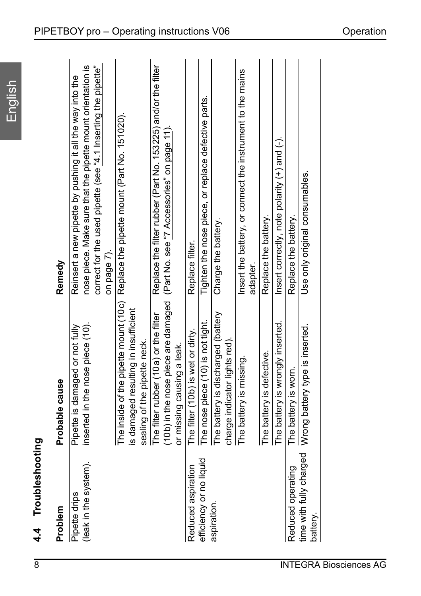# 4.4 Troubleshooting **4.4 Troubleshooting**

| Problem                                | Probable cause                                                                                                | Remedy                                                                                                                                                                                                   |
|----------------------------------------|---------------------------------------------------------------------------------------------------------------|----------------------------------------------------------------------------------------------------------------------------------------------------------------------------------------------------------|
| (leak in the system).<br>Pipette drips | inserted in the nose piece (10).<br>Pipette is damaged or not fully                                           | nose piece. Make sure that the pipette mount orientation is<br>correct for the used pipette (see "4.1 Inserting the pipette"<br>Reinsert a new pipette by pushing it all the way into the<br>on page 7). |
|                                        | The inside of the pipette mount (10c)<br>is damaged resulting in insufficient<br>sealing of the pipette neck. | Replace the pipette mount (Part No. 151020).                                                                                                                                                             |
|                                        | The filter rubber (10a) or the filter<br>or missing causing a leak.                                           | Replace the filter rubber (Part No. 153225) and/or the filter<br>(10b) in the nose piece are damaged (Part No. see "7 Accessories" on page 11)                                                           |
| Reduced aspiration                     | The filter (10b) is wet or dirty.                                                                             | Replace filter.                                                                                                                                                                                          |
| efficiency or no liquid                | The nose piece (10) is not tight.                                                                             | Tighten the nose piece, or replace defective parts.                                                                                                                                                      |
| aspiration.                            | The battery is discharged (battery<br>charge indicator lights red).                                           | Charge the battery.                                                                                                                                                                                      |
|                                        | The battery is missing.                                                                                       | Insert the battery, or connect the instrument to the mains<br>adapter.                                                                                                                                   |
|                                        | The battery is defective.                                                                                     | Replace the battery.                                                                                                                                                                                     |
|                                        | The battery is wrongly inserted.                                                                              | Insert correctly, note polarity (+) and (-).                                                                                                                                                             |
| Reduced operating                      | The battery is worn.                                                                                          | Replace the battery.                                                                                                                                                                                     |
| time with fully charged<br>battery.    | Wrong battery type is inserted.                                                                               | Use only original consumables.                                                                                                                                                                           |
|                                        |                                                                                                               |                                                                                                                                                                                                          |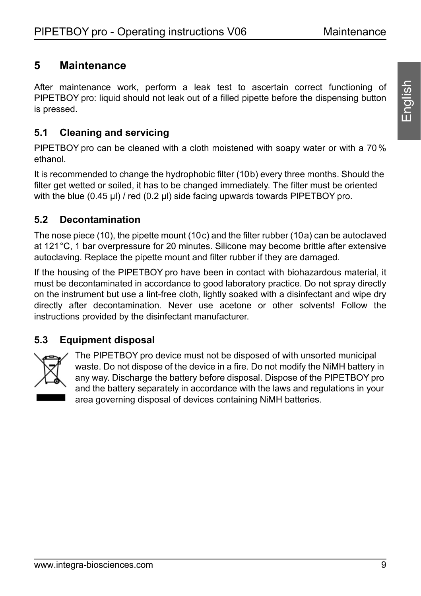## <span id="page-8-0"></span>**5 Maintenance**

After maintenance work, perform a leak test to ascertain correct functioning of PIPETBOY pro: liquid should not leak out of a filled pipette before the dispensing button is pressed.

#### **5.1 Cleaning and servicing**

PIPETBOY pro can be cleaned with a cloth moistened with soapy water or with a 70 % ethanol.

It is recommended to change the hydrophobic filter ([10b\)](#page-4-12) every three months. Should the filter get wetted or soiled, it has to be changed immediately. The filter must be oriented with the blue (0.45 µl) / red (0.2 µl) side facing upwards towards PIPETBOY pro.

#### **5.2 Decontamination**

The nose piece ([10\)](#page-4-10), the pipette mount ([10c\)](#page-4-4) and the filter rubber ([10a](#page-4-11)) can be autoclaved at 121°C, 1 bar overpressure for 20 minutes. Silicone may become brittle after extensive autoclaving. Replace the pipette mount and filter rubber if they are damaged.

If the housing of the PIPETBOY pro have been in contact with biohazardous material, it must be decontaminated in accordance to good laboratory practice. Do not spray directly on the instrument but use a lint-free cloth, lightly soaked with a disinfectant and wipe dry directly after decontamination. Never use acetone or other solvents! Follow the instructions provided by the disinfectant manufacturer.

#### **5.3 Equipment disposal**



The PIPETBOY pro device must not be disposed of with unsorted municipal waste. Do not dispose of the device in a fire. Do not modify the NiMH battery in any way. Discharge the battery before disposal. Dispose of the PIPETBOY pro and the battery separately in accordance with the laws and regulations in your area governing disposal of devices containing NiMH batteries.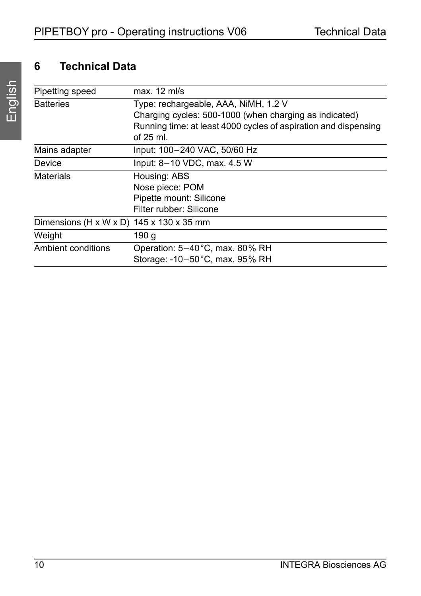# <span id="page-9-0"></span>**6 Technical Data**

| Pipetting speed                                      | $max. 12$ ml/s                                                                                                            |
|------------------------------------------------------|---------------------------------------------------------------------------------------------------------------------------|
| <b>Batteries</b>                                     | Type: rechargeable, AAA, NiMH, 1.2 V                                                                                      |
|                                                      | Charging cycles: 500-1000 (when charging as indicated)<br>Running time: at least 4000 cycles of aspiration and dispensing |
|                                                      | of $25$ ml.                                                                                                               |
| Mains adapter                                        | Input: 100-240 VAC, 50/60 Hz                                                                                              |
| Device                                               | Input: 8-10 VDC, max. 4.5 W                                                                                               |
| <b>Materials</b>                                     | Housing: ABS                                                                                                              |
|                                                      | Nose piece: POM                                                                                                           |
|                                                      | Pipette mount: Silicone                                                                                                   |
|                                                      | Filter rubber: Silicone                                                                                                   |
| Dimensions (H x W x D) $145 \times 130 \times 35$ mm |                                                                                                                           |
| Weight                                               | 190 q                                                                                                                     |
| Ambient conditions                                   | Operation: 5-40°C, max. 80% RH                                                                                            |
|                                                      | Storage: -10-50 °C, max. 95% RH                                                                                           |